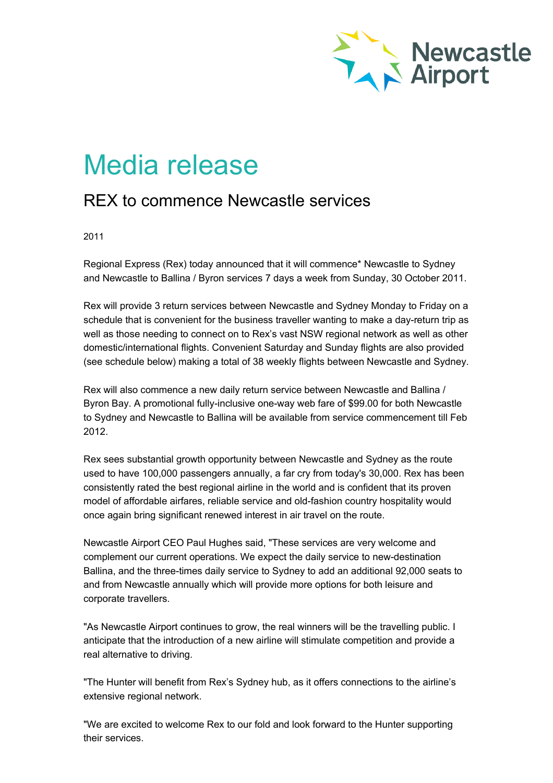

## Media release

## REX to commence Newcastle services

2011

Regional Express (Rex) today announced that it will commence\* Newcastle to Sydney and Newcastle to Ballina / Byron services 7 days a week from Sunday, 30 October 2011.

Rex will provide 3 return services between Newcastle and Sydney Monday to Friday on a schedule that is convenient for the business traveller wanting to make a day-return trip as well as those needing to connect on to Rex's vast NSW regional network as well as other domestic/international flights. Convenient Saturday and Sunday flights are also provided (see schedule below) making a total of 38 weekly flights between Newcastle and Sydney.

Rex will also commence a new daily return service between Newcastle and Ballina / Byron Bay. A promotional fully-inclusive one-way web fare of \$99.00 for both Newcastle to Sydney and Newcastle to Ballina will be available from service commencement till Feb 2012.

Rex sees substantial growth opportunity between Newcastle and Sydney as the route used to have 100,000 passengers annually, a far cry from today's 30,000. Rex has been consistently rated the best regional airline in the world and is confident that its proven model of affordable airfares, reliable service and old-fashion country hospitality would once again bring significant renewed interest in air travel on the route.

Newcastle Airport CEO Paul Hughes said, "These services are very welcome and complement our current operations. We expect the daily service to new-destination Ballina, and the three-times daily service to Sydney to add an additional 92,000 seats to and from Newcastle annually which will provide more options for both leisure and corporate travellers.

"As Newcastle Airport continues to grow, the real winners will be the travelling public. I anticipate that the introduction of a new airline will stimulate competition and provide a real alternative to driving.

"The Hunter will benefit from Rex's Sydney hub, as it offers connections to the airline's extensive regional network.

"We are excited to welcome Rex to our fold and look forward to the Hunter supporting their services.